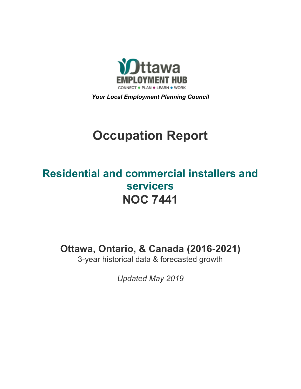

*Your Local Employment Planning Council*

# **Occupation Report**

## **Residential and commercial installers and servicers NOC 7441**

**Ottawa, Ontario, & Canada (2016-2021)**

3-year historical data & forecasted growth

*Updated May 2019*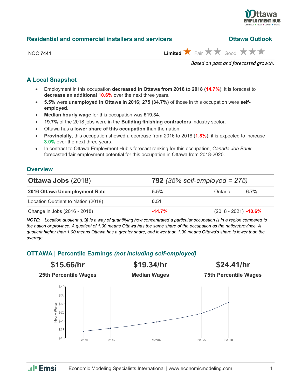

| <b>Residential and commercial installers and servicers</b> | <b>Ottawa Outlook</b> |
|------------------------------------------------------------|-----------------------|
|                                                            |                       |

NOC 7441 **Limited**  $\overrightarrow{X}$  Fair  $\overrightarrow{X}$  Good  $\overrightarrow{X}$   $\overrightarrow{X}$ 

*Based on past and forecasted growth.*

## **A Local Snapshot**

- Employment in this occupation **decreased in Ottawa from 2016 to 2018** (**14.7%**); it is forecast to **decrease an additional 10.6%** over the next three years.
- **5.5%** were **unemployed in Ottawa in 2016; 275 (34.7%)** of those in this occupation were **selfemployed**.
- **Median hourly wage** for this occupation was **\$19.34**.
- **19.7%** of the 2018 jobs were in the **Building finishing contractors** industry sector.
- Ottawa has a **lower share of this occupation** than the nation.
- **Provincially**, this occupation showed a decrease from 2016 to 2018 (**1.8%**); it is expected to increase **3.0%** over the next three years.
- In contrast to Ottawa Employment Hub's forecast ranking for this occupation, *Canada Job Bank*  forecasted **fair** employment potential for this occupation in Ottawa from 2018-2020.

## **Overview**

| <b>Ottawa Jobs (2018)</b>          | <b>792</b> (35% self-employed = $275$ ) |                        |         |
|------------------------------------|-----------------------------------------|------------------------|---------|
| 2016 Ottawa Unemployment Rate      | $5.5\%$                                 | Ontario                | $6.7\%$ |
| Location Quotient to Nation (2018) | 0.51                                    |                        |         |
| Change in Jobs (2016 - 2018)       | $-14.7%$                                | $(2018 - 2021)$ -10.6% |         |

*NOTE: Location quotient (LQ) is a way of quantifying how concentrated a particular occupation is in a region compared to the nation or province. A quotient of 1.00 means Ottawa has the same share of the occupation as the nation/province. A quotient higher than 1.00 means Ottawa has a greater share, and lower than 1.00 means Ottawa's share is lower than the average.*

#### **OTTAWA | Percentile Earnings** *(not including self-employed)*



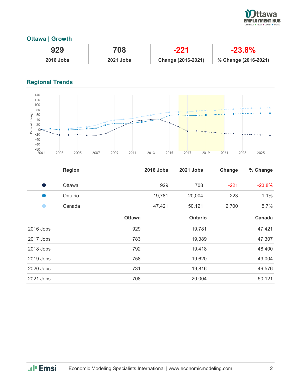

### **Ottawa | Growth**

| 929              | 708              | $-221$             | $-23.8%$             |
|------------------|------------------|--------------------|----------------------|
| <b>2016 Jobs</b> | <b>2021 Jobs</b> | Change (2016-2021) | % Change (2016-2021) |

## **Regional Trends**



|           | <b>Region</b> |               | <b>2016 Jobs</b> | 2021 Jobs | Change | % Change |
|-----------|---------------|---------------|------------------|-----------|--------|----------|
|           | <b>Ottawa</b> |               | 929              | 708       | $-221$ | $-23.8%$ |
|           | Ontario       |               | 19,781           | 20,004    | 223    | 1.1%     |
|           | Canada        |               | 47,421           | 50,121    | 2,700  | 5.7%     |
|           |               | <b>Ottawa</b> |                  | Ontario   |        | Canada   |
| 2016 Jobs |               | 929           |                  | 19,781    |        | 47,421   |
| 2017 Jobs |               | 783           |                  | 19,389    |        | 47,307   |
| 2018 Jobs |               | 792           |                  | 19,418    |        | 48,400   |
| 2019 Jobs |               | 758           |                  | 19,620    |        | 49,004   |
| 2020 Jobs |               | 731           |                  | 19,816    |        | 49,576   |
| 2021 Jobs |               | 708           |                  | 20,004    |        | 50,121   |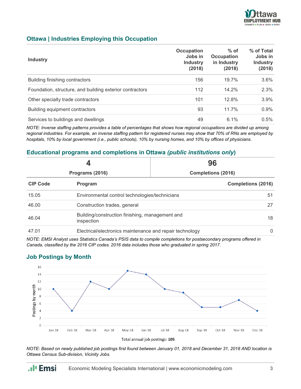

#### **Ottawa | Industries Employing this Occupation**

| <b>Industry</b>                                          | Occupation<br>Jobs in<br><b>Industry</b><br>(2018) | $%$ of<br><b>Occupation</b><br>in Industry<br>(2018) | % of Total<br>Jobs in<br><b>Industry</b><br>(2018) |
|----------------------------------------------------------|----------------------------------------------------|------------------------------------------------------|----------------------------------------------------|
| Building finishing contractors                           | 156                                                | 19.7%                                                | 3.6%                                               |
| Foundation, structure, and building exterior contractors | 112                                                | 14.2%                                                | 2.3%                                               |
| Other specialty trade contractors                        | 101                                                | 12.8%                                                | 3.9%                                               |
| Building equipment contractors                           | 93                                                 | 11.7%                                                | 0.9%                                               |
| Services to buildings and dwellings                      | 49                                                 | 6.1%                                                 | 0.5%                                               |

*NOTE: Inverse staffing patterns provides a table of percentages that shows how regional occupations are divided up among regional industries. For example, an inverse staffing pattern for registered nurses may show that 70% of RNs are employed by hospitals, 10% by local government (i.e., public schools), 10% by nursing homes, and 10% by offices of physicians.*

#### **Educational programs and completions in Ottawa** *(public institutions only***)**

| Programs (2016) |                                                               | 96                        |  |
|-----------------|---------------------------------------------------------------|---------------------------|--|
|                 |                                                               | <b>Completions (2016)</b> |  |
| <b>CIP Code</b> | Program                                                       | <b>Completions (2016)</b> |  |
| 15.05           | Environmental control technologies/technicians                | 51                        |  |
| 46.00           | Construction trades, general                                  | 27                        |  |
| 46.04           | Building/construction finishing, management and<br>inspection |                           |  |
| 47.01           | Electrical/electronics maintenance and repair technology      |                           |  |

*NOTE: EMSI Analyst uses Statistics Canada's PSIS data to compile completions for postsecondary programs offered in Canada, classified by the 2016 CIP codes. 2016 data includes those who graduated in spring 2017.*

#### **Job Postings by Month**

.**.**I<sub>I</sub> Emsi



*NOTE: Based on newly published job postings first found between January 01, 2018 and December 31, 2018 AND location is Ottawa Census Sub-division, Vicinity Jobs.*